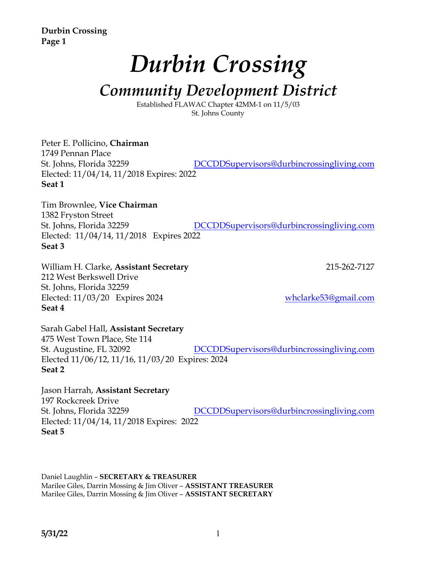**Durbin Crossing Page 1**

# *Durbin Crossing*

## *Community Development District*

Established FLAWAC Chapter 42MM-1 on 11/5/03 St. Johns County

Peter E. Pollicino, **Chairman** 1749 Pennan Place St. Johns, Florida 32259 DCCDDSupervisors@durbincrossingliving.com Elected: 11/04/14, 11/2018 Expires: 2022 **Seat 1**

Tim Brownlee, **Vice Chairman** 1382 Fryston Street St. Johns, Florida 32259 DCCDDSupervisors@durbincrossingliving.com Elected: 11/04/14, 11/2018 Expires 2022 **Seat 3**

William H. Clarke, Assistant Secretary 215-262-7127 212 West Berkswell Drive St. Johns, Florida 32259 Elected: 11/03/20 Expires 2024 whclarke53@gmail.com **Seat 4**

Sarah Gabel Hall, **Assistant Secretary** 475 West Town Place, Ste 114 St. Augustine, FL 32092 DCCDDSupervisors@durbincrossingliving.com Elected 11/06/12, 11/16, 11/03/20 Expires: 2024 **Seat 2**

Jason Harrah, **Assistant Secretary** 197 Rockcreek Drive St. Johns, Florida 32259 DCCDDSupervisors@durbincrossingliving.com Elected: 11/04/14, 11/2018 Expires: 2022 **Seat 5**

Daniel Laughlin – **SECRETARY & TREASURER** Marilee Giles, Darrin Mossing & Jim Oliver – **ASSISTANT TREASURER** Marilee Giles, Darrin Mossing & Jim Oliver – **ASSISTANT SECRETARY**